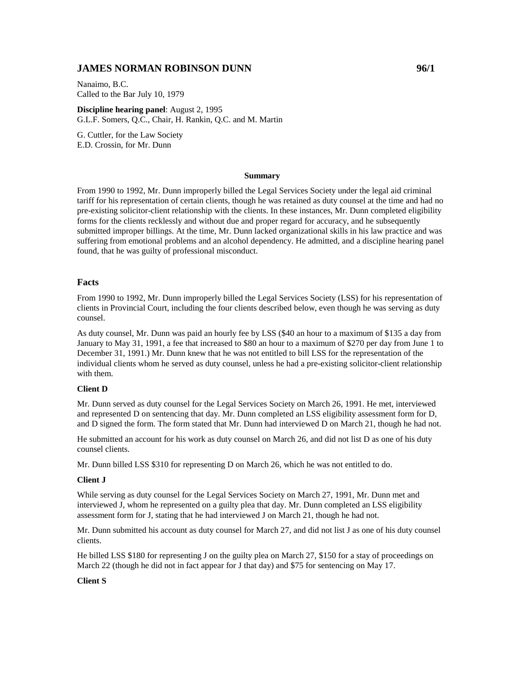# **JAMES NORMAN ROBINSON DUNN 96/1**

Nanaimo, B.C. Called to the Bar July 10, 1979

**Discipline hearing panel**: August 2, 1995 G.L.F. Somers, Q.C., Chair, H. Rankin, Q.C. and M. Martin

G. Cuttler, for the Law Society E.D. Crossin, for Mr. Dunn

#### **Summary**

From 1990 to 1992, Mr. Dunn improperly billed the Legal Services Society under the legal aid criminal tariff for his representation of certain clients, though he was retained as duty counsel at the time and had no pre-existing solicitor-client relationship with the clients. In these instances, Mr. Dunn completed eligibility forms for the clients recklessly and without due and proper regard for accuracy, and he subsequently submitted improper billings. At the time, Mr. Dunn lacked organizational skills in his law practice and was suffering from emotional problems and an alcohol dependency. He admitted, and a discipline hearing panel found, that he was guilty of professional misconduct.

## **Facts**

From 1990 to 1992, Mr. Dunn improperly billed the Legal Services Society (LSS) for his representation of clients in Provincial Court, including the four clients described below, even though he was serving as duty counsel.

As duty counsel, Mr. Dunn was paid an hourly fee by LSS (\$40 an hour to a maximum of \$135 a day from January to May 31, 1991, a fee that increased to \$80 an hour to a maximum of \$270 per day from June 1 to December 31, 1991.) Mr. Dunn knew that he was not entitled to bill LSS for the representation of the individual clients whom he served as duty counsel, unless he had a pre-existing solicitor-client relationship with them.

#### **Client D**

Mr. Dunn served as duty counsel for the Legal Services Society on March 26, 1991. He met, interviewed and represented D on sentencing that day. Mr. Dunn completed an LSS eligibility assessment form for D, and D signed the form. The form stated that Mr. Dunn had interviewed D on March 21, though he had not.

He submitted an account for his work as duty counsel on March 26, and did not list D as one of his duty counsel clients.

Mr. Dunn billed LSS \$310 for representing D on March 26, which he was not entitled to do.

#### **Client J**

While serving as duty counsel for the Legal Services Society on March 27, 1991, Mr. Dunn met and interviewed J, whom he represented on a guilty plea that day. Mr. Dunn completed an LSS eligibility assessment form for J, stating that he had interviewed J on March 21, though he had not.

Mr. Dunn submitted his account as duty counsel for March 27, and did not list J as one of his duty counsel clients.

He billed LSS \$180 for representing J on the guilty plea on March 27, \$150 for a stay of proceedings on March 22 (though he did not in fact appear for J that day) and \$75 for sentencing on May 17.

### **Client S**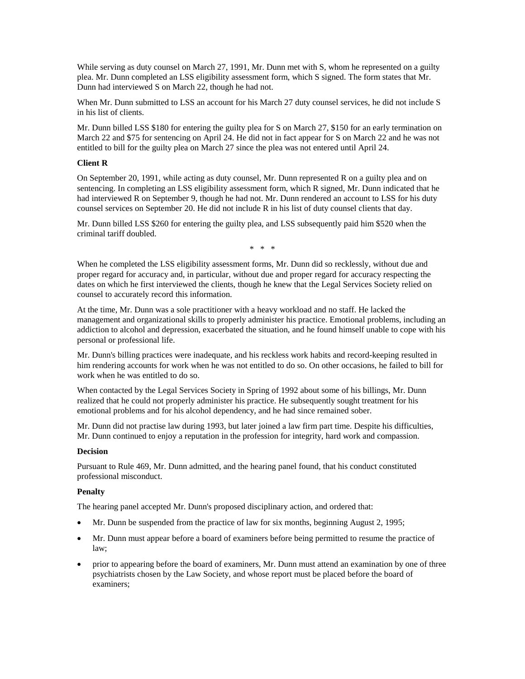While serving as duty counsel on March 27, 1991, Mr. Dunn met with S, whom he represented on a guilty plea. Mr. Dunn completed an LSS eligibility assessment form, which S signed. The form states that Mr. Dunn had interviewed S on March 22, though he had not.

When Mr. Dunn submitted to LSS an account for his March 27 duty counsel services, he did not include S in his list of clients.

Mr. Dunn billed LSS \$180 for entering the guilty plea for S on March 27, \$150 for an early termination on March 22 and \$75 for sentencing on April 24. He did not in fact appear for S on March 22 and he was not entitled to bill for the guilty plea on March 27 since the plea was not entered until April 24.

# **Client R**

On September 20, 1991, while acting as duty counsel, Mr. Dunn represented R on a guilty plea and on sentencing. In completing an LSS eligibility assessment form, which R signed, Mr. Dunn indicated that he had interviewed R on September 9, though he had not. Mr. Dunn rendered an account to LSS for his duty counsel services on September 20. He did not include R in his list of duty counsel clients that day.

Mr. Dunn billed LSS \$260 for entering the guilty plea, and LSS subsequently paid him \$520 when the criminal tariff doubled.

\* \* \*

When he completed the LSS eligibility assessment forms, Mr. Dunn did so recklessly, without due and proper regard for accuracy and, in particular, without due and proper regard for accuracy respecting the dates on which he first interviewed the clients, though he knew that the Legal Services Society relied on counsel to accurately record this information.

At the time, Mr. Dunn was a sole practitioner with a heavy workload and no staff. He lacked the management and organizational skills to properly administer his practice. Emotional problems, including an addiction to alcohol and depression, exacerbated the situation, and he found himself unable to cope with his personal or professional life.

Mr. Dunn's billing practices were inadequate, and his reckless work habits and record-keeping resulted in him rendering accounts for work when he was not entitled to do so. On other occasions, he failed to bill for work when he was entitled to do so.

When contacted by the Legal Services Society in Spring of 1992 about some of his billings, Mr. Dunn realized that he could not properly administer his practice. He subsequently sought treatment for his emotional problems and for his alcohol dependency, and he had since remained sober.

Mr. Dunn did not practise law during 1993, but later joined a law firm part time. Despite his difficulties, Mr. Dunn continued to enjoy a reputation in the profession for integrity, hard work and compassion.

# **Decision**

Pursuant to Rule 469, Mr. Dunn admitted, and the hearing panel found, that his conduct constituted professional misconduct.

# **Penalty**

The hearing panel accepted Mr. Dunn's proposed disciplinary action, and ordered that:

- Mr. Dunn be suspended from the practice of law for six months, beginning August 2, 1995;
- Mr. Dunn must appear before a board of examiners before being permitted to resume the practice of law;
- prior to appearing before the board of examiners, Mr. Dunn must attend an examination by one of three psychiatrists chosen by the Law Society, and whose report must be placed before the board of examiners;